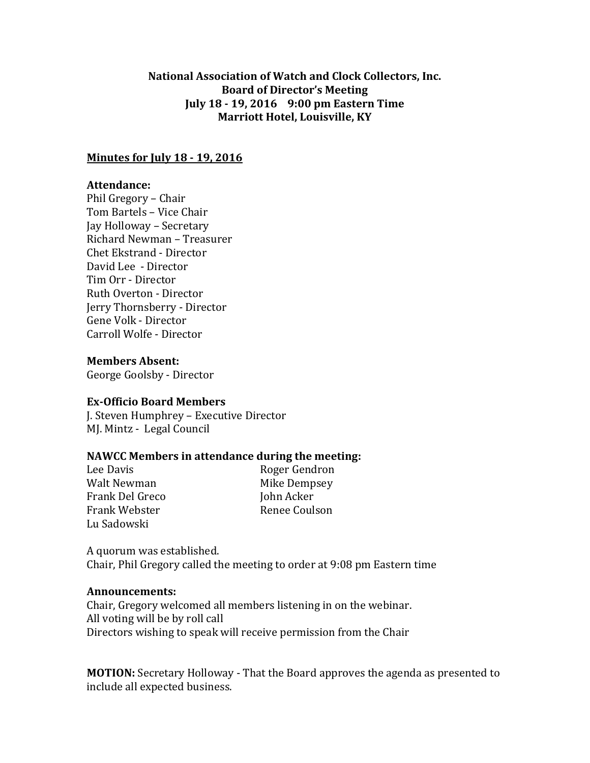# **National Association of Watch and Clock Collectors, Inc. Board of Director's Meeting July 18 - 19, 2016 9:00 pm Eastern Time Marriott Hotel, Louisville, KY**

## **Minutes for July 18 - 19, 2016**

## **Attendance:**

Phil Gregory – Chair Tom Bartels – Vice Chair Jay Holloway – Secretary Richard Newman – Treasurer Chet Ekstrand - Director David Lee - Director Tim Orr - Director Ruth Overton - Director Jerry Thornsberry - Director Gene Volk - Director Carroll Wolfe - Director

**Members Absent:**

George Goolsby - Director

### **Ex-Officio Board Members**

J. Steven Humphrey – Executive Director MJ. Mintz - Legal Council

# **NAWCC Members in attendance during the meeting:**

Walt Newman Mike Dempsey Frank Del Greco John Acker Frank Webster **Renee Coulson** Lu Sadowski

Lee Davis **Roger** Gendron

A quorum was established. Chair, Phil Gregory called the meeting to order at 9:08 pm Eastern time

### **Announcements:**

Chair, Gregory welcomed all members listening in on the webinar. All voting will be by roll call Directors wishing to speak will receive permission from the Chair

**MOTION:** Secretary Holloway - That the Board approves the agenda as presented to include all expected business.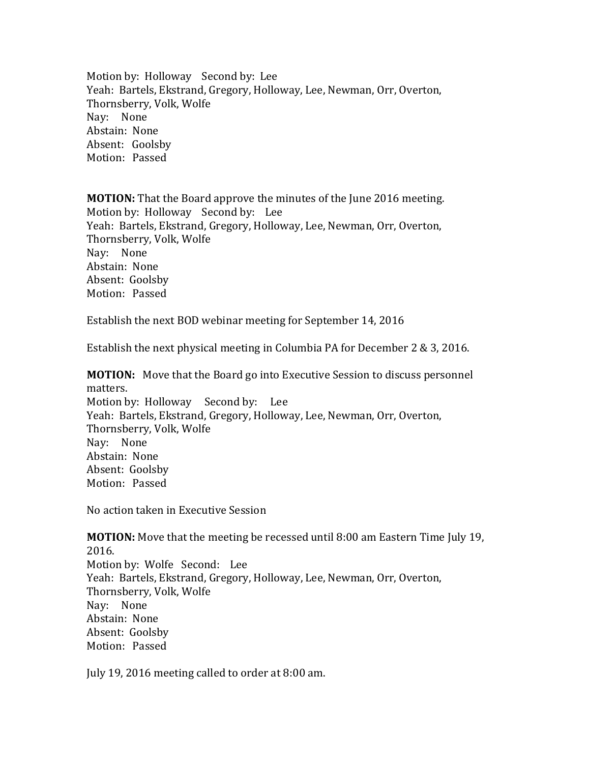Motion by: Holloway Second by: Lee Yeah: Bartels, Ekstrand, Gregory, Holloway, Lee, Newman, Orr, Overton, Thornsberry, Volk, Wolfe Nay: None Abstain: None Absent: Goolsby Motion: Passed

**MOTION:** That the Board approve the minutes of the June 2016 meeting. Motion by: Holloway Second by: Lee Yeah: Bartels, Ekstrand, Gregory, Holloway, Lee, Newman, Orr, Overton, Thornsberry, Volk, Wolfe Nay: None Abstain: None Absent: Goolsby Motion: Passed

Establish the next BOD webinar meeting for September 14, 2016

Establish the next physical meeting in Columbia PA for December 2 & 3, 2016.

**MOTION:** Move that the Board go into Executive Session to discuss personnel matters. Motion by: Holloway Second by: Lee Yeah: Bartels, Ekstrand, Gregory, Holloway, Lee, Newman, Orr, Overton, Thornsberry, Volk, Wolfe Nay: None

Abstain: None Absent: Goolsby Motion: Passed

No action taken in Executive Session

**MOTION:** Move that the meeting be recessed until 8:00 am Eastern Time July 19, 2016. Motion by: Wolfe Second: Lee Yeah: Bartels, Ekstrand, Gregory, Holloway, Lee, Newman, Orr, Overton, Thornsberry, Volk, Wolfe Nay: None Abstain: None Absent: Goolsby Motion: Passed

July 19, 2016 meeting called to order at 8:00 am.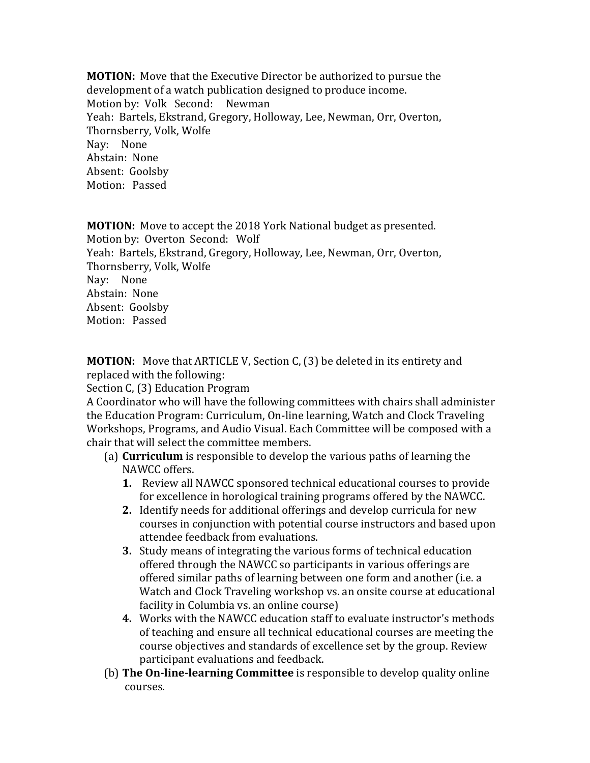**MOTION:** Move that the Executive Director be authorized to pursue the development of a watch publication designed to produce income. Motion by: Volk Second: Newman Yeah: Bartels, Ekstrand, Gregory, Holloway, Lee, Newman, Orr, Overton, Thornsberry, Volk, Wolfe Nay: None Abstain: None Absent: Goolsby Motion: Passed

**MOTION:** Move to accept the 2018 York National budget as presented. Motion by: Overton Second: Wolf Yeah: Bartels, Ekstrand, Gregory, Holloway, Lee, Newman, Orr, Overton, Thornsberry, Volk, Wolfe Nay: None Abstain: None Absent: Goolsby Motion: Passed

**MOTION:** Move that ARTICLE V, Section C, (3) be deleted in its entirety and replaced with the following:

Section C, (3) Education Program

A Coordinator who will have the following committees with chairs shall administer the Education Program: Curriculum, On-line learning, Watch and Clock Traveling Workshops, Programs, and Audio Visual. Each Committee will be composed with a chair that will select the committee members.

- (a) **Curriculum** is responsible to develop the various paths of learning the NAWCC offers.
	- **1.** Review all NAWCC sponsored technical educational courses to provide for excellence in horological training programs offered by the NAWCC.
	- **2.** Identify needs for additional offerings and develop curricula for new courses in conjunction with potential course instructors and based upon attendee feedback from evaluations.
	- **3.** Study means of integrating the various forms of technical education offered through the NAWCC so participants in various offerings are offered similar paths of learning between one form and another (i.e. a Watch and Clock Traveling workshop vs. an onsite course at educational facility in Columbia vs. an online course)
	- **4.** Works with the NAWCC education staff to evaluate instructor's methods of teaching and ensure all technical educational courses are meeting the course objectives and standards of excellence set by the group. Review participant evaluations and feedback.
- (b) **The On-line-learning Committee** is responsible to develop quality online courses.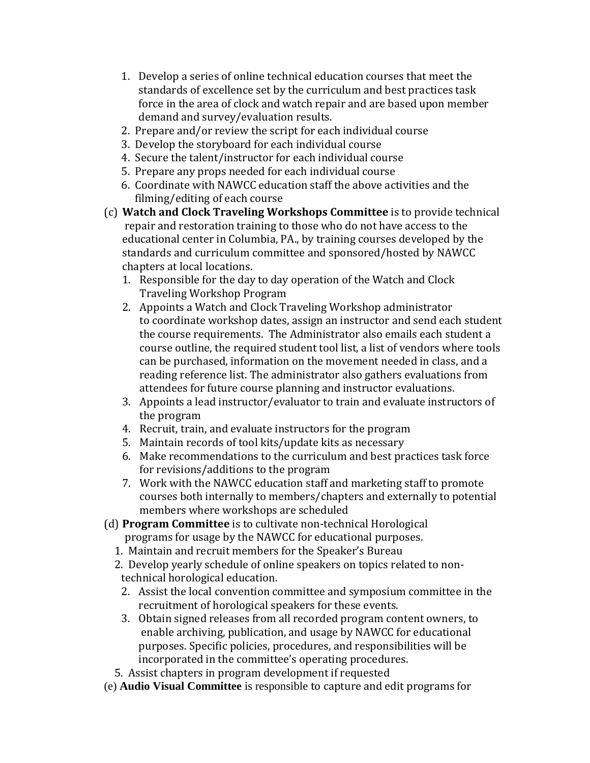- 1. Develop a series of online technical education courses that meet the standards of excellence set by the curriculum and best practices task force in the area of clock and watch repair and are based upon member demand and survey/evaluation results.
- 2. Prepare and/or review the script for each individual course
- 3. Develop the storyboard for each individual course
- 4. Secure the talent/instructor for each individual course
- 5. Prepare any props needed for each individual course
- 6. Coordinate with NAWCC education staff the above activities and the filming/editing of each course
- (c) **Watch and Clock Traveling Workshops Committee** is to provide technical repair and restoration training to those who do not have access to the educational center in Columbia, PA., by training courses developed by the standards and curriculum committee and sponsored/hosted by NAWCC chapters at local locations.
	- 1. Responsible for the day to day operation of the Watch and Clock Traveling Workshop Program
	- 2. Appoints a Watch and Clock Traveling Workshop administrator to coordinate workshop dates, assign an instructor and send each student the course requirements. The Administrator also emails each student a course outline, the required student tool list, a list of vendors where tools can be purchased, information on the movement needed in class, and a reading reference list. The administrator also gathers evaluations from attendees for future course planning and instructor evaluations.
	- 3. Appoints a lead instructor/evaluator to train and evaluate instructors of the program
	- 4. Recruit, train, and evaluate instructors for the program
	- 5. Maintain records of tool kits/update kits as necessary
	- 6. Make recommendations to the curriculum and best practices task force for revisions/additions to the program
	- 7. Work with the NAWCC education staff and marketing staff to promote courses both internally to members/chapters and externally to potential members where workshops are scheduled
- (d) **Program Committee** is to cultivate non-technical Horological
	- programs for usage by the NAWCC for educational purposes.
	- 1. Maintain and recruit members for the Speaker's Bureau
	- 2. Develop yearly schedule of online speakers on topics related to nontechnical horological education.
		- 2. Assist the local convention committee and symposium committee in the recruitment of horological speakers for these events.
		- 3. Obtain signed releases from all recorded program content owners, to enable archiving, publication, and usage by NAWCC for educational purposes. Specific policies, procedures, and responsibilities will be incorporated in the committee's operating procedures.
	- 5. Assist chapters in program development if requested
- (e) **Audio Visual Committee** is responsible to capture and edit programs for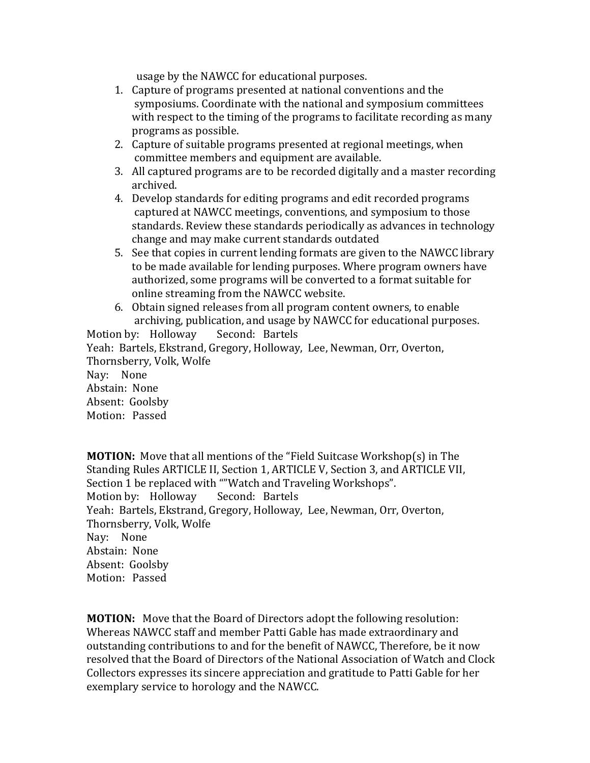usage by the NAWCC for educational purposes.

- 1. Capture of programs presented at national conventions and the symposiums. Coordinate with the national and symposium committees with respect to the timing of the programs to facilitate recording as many programs as possible.
- 2. Capture of suitable programs presented at regional meetings, when committee members and equipment are available.
- 3. All captured programs are to be recorded digitally and a master recording archived.
- 4. Develop standards for editing programs and edit recorded programs captured at NAWCC meetings, conventions, and symposium to those standards. Review these standards periodically as advances in technology change and may make current standards outdated
- 5. See that copies in current lending formats are given to the NAWCC library to be made available for lending purposes. Where program owners have authorized, some programs will be converted to a format suitable for online streaming from the NAWCC website.
- 6. Obtain signed releases from all program content owners, to enable archiving, publication, and usage by NAWCC for educational purposes.

Motion by: Holloway Second: Bartels Yeah: Bartels, Ekstrand, Gregory, Holloway, Lee, Newman, Orr, Overton, Thornsberry, Volk, Wolfe Nay: None Abstain: None Absent: Goolsby Motion: Passed

**MOTION:** Move that all mentions of the "Field Suitcase Workshop(s) in The Standing Rules ARTICLE II, Section 1, ARTICLE V, Section 3, and ARTICLE VII, Section 1 be replaced with ""Watch and Traveling Workshops". Motion by: Holloway Second: Bartels Yeah: Bartels, Ekstrand, Gregory, Holloway, Lee, Newman, Orr, Overton, Thornsberry, Volk, Wolfe Nay: None Abstain: None Absent: Goolsby Motion: Passed

**MOTION:** Move that the Board of Directors adopt the following resolution: Whereas NAWCC staff and member Patti Gable has made extraordinary and outstanding contributions to and for the benefit of NAWCC, Therefore, be it now resolved that the Board of Directors of the National Association of Watch and Clock Collectors expresses its sincere appreciation and gratitude to Patti Gable for her exemplary service to horology and the NAWCC.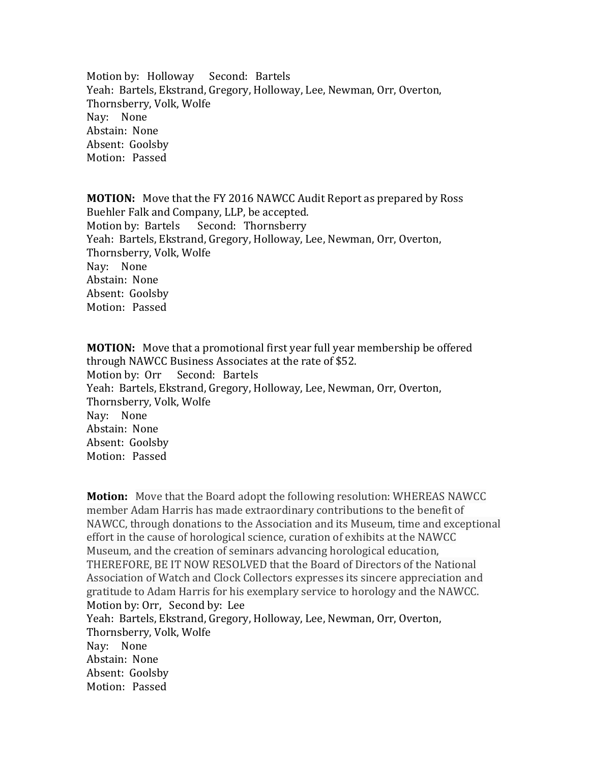Motion by: Holloway Second: Bartels Yeah: Bartels, Ekstrand, Gregory, Holloway, Lee, Newman, Orr, Overton, Thornsberry, Volk, Wolfe Nay: None Abstain: None Absent: Goolsby Motion: Passed

**MOTION:** Move that the FY 2016 NAWCC Audit Report as prepared by Ross Buehler Falk and Company, LLP, be accepted. Motion by: Bartels Second: Thornsberry Yeah: Bartels, Ekstrand, Gregory, Holloway, Lee, Newman, Orr, Overton, Thornsberry, Volk, Wolfe Nay: None Abstain: None Absent: Goolsby Motion: Passed

**MOTION:** Move that a promotional first year full year membership be offered through NAWCC Business Associates at the rate of \$52. Motion by: Orr Second: Bartels Yeah: Bartels, Ekstrand, Gregory, Holloway, Lee, Newman, Orr, Overton, Thornsberry, Volk, Wolfe Nay: None Abstain: None Absent: Goolsby Motion: Passed

**Motion:** Move that the Board adopt the following resolution: WHEREAS NAWCC member Adam Harris has made extraordinary contributions to the benefit of NAWCC, through donations to the Association and its Museum, time and exceptional effort in the cause of horological science, curation of exhibits at the NAWCC Museum, and the creation of seminars advancing horological education, THEREFORE, BE IT NOW RESOLVED that the Board of Directors of the National Association of Watch and Clock Collectors expresses its sincere appreciation and gratitude to Adam Harris for his exemplary service to horology and the NAWCC. Motion by: Orr, Second by: Lee Yeah: Bartels, Ekstrand, Gregory, Holloway, Lee, Newman, Orr, Overton, Thornsberry, Volk, Wolfe Nay: None Abstain: None Absent: Goolsby Motion: Passed